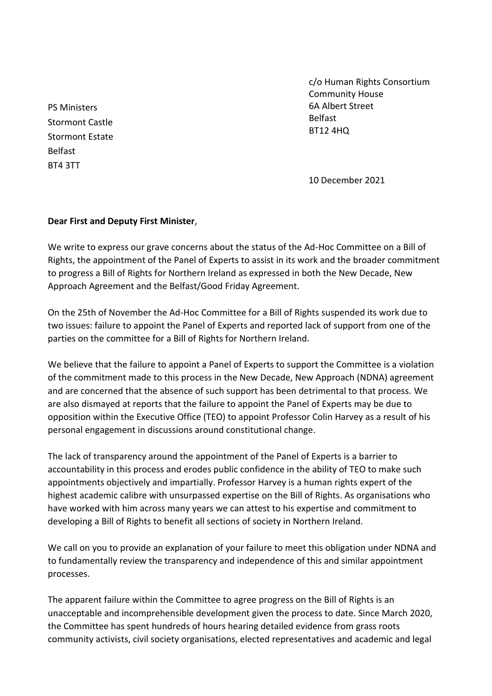PS Ministers Stormont Castle Stormont Estate Belfast BT4 3TT

c/o Human Rights Consortium Community House 6A Albert Street Belfast BT12 4HQ

10 December 2021

## **Dear First and Deputy First Minister**,

We write to express our grave concerns about the status of the Ad-Hoc Committee on a Bill of Rights, the appointment of the Panel of Experts to assist in its work and the broader commitment to progress a Bill of Rights for Northern Ireland as expressed in both the New Decade, New Approach Agreement and the Belfast/Good Friday Agreement.

On the 25th of November the Ad-Hoc Committee for a Bill of Rights suspended its work due to two issues: failure to appoint the Panel of Experts and reported lack of support from one of the parties on the committee for a Bill of Rights for Northern Ireland.

We believe that the failure to appoint a Panel of Experts to support the Committee is a violation of the commitment made to this process in the New Decade, New Approach (NDNA) agreement and are concerned that the absence of such support has been detrimental to that process. We are also dismayed at reports that the failure to appoint the Panel of Experts may be due to opposition within the Executive Office (TEO) to appoint Professor Colin Harvey as a result of his personal engagement in discussions around constitutional change.

The lack of transparency around the appointment of the Panel of Experts is a barrier to accountability in this process and erodes public confidence in the ability of TEO to make such appointments objectively and impartially. Professor Harvey is a human rights expert of the highest academic calibre with unsurpassed expertise on the Bill of Rights. As organisations who have worked with him across many years we can attest to his expertise and commitment to developing a Bill of Rights to benefit all sections of society in Northern Ireland.

We call on you to provide an explanation of your failure to meet this obligation under NDNA and to fundamentally review the transparency and independence of this and similar appointment processes.

The apparent failure within the Committee to agree progress on the Bill of Rights is an unacceptable and incomprehensible development given the process to date. Since March 2020, the Committee has spent hundreds of hours hearing detailed evidence from grass roots community activists, civil society organisations, elected representatives and academic and legal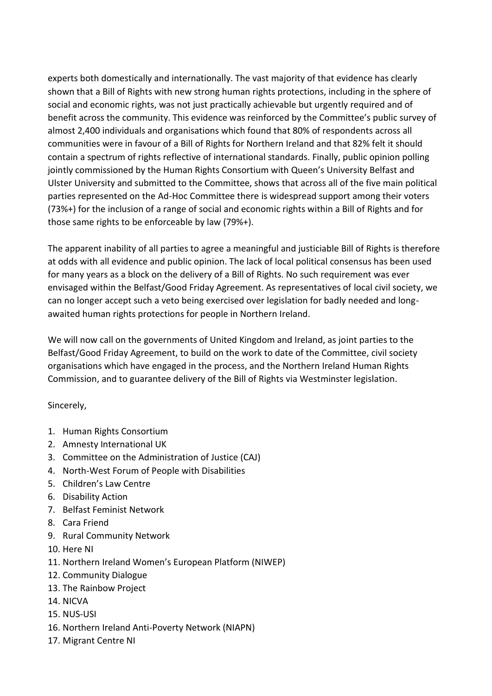experts both domestically and internationally. The vast majority of that evidence has clearly shown that a Bill of Rights with new strong human rights protections, including in the sphere of social and economic rights, was not just practically achievable but urgently required and of benefit across the community. This evidence was reinforced by the Committee's public survey of almost 2,400 individuals and organisations which found that 80% of respondents across all communities were in favour of a Bill of Rights for Northern Ireland and that 82% felt it should contain a spectrum of rights reflective of international standards. Finally, public opinion polling jointly commissioned by the Human Rights Consortium with Queen's University Belfast and Ulster University and submitted to the Committee, shows that across all of the five main political parties represented on the Ad-Hoc Committee there is widespread support among their voters (73%+) for the inclusion of a range of social and economic rights within a Bill of Rights and for those same rights to be enforceable by law (79%+).

The apparent inability of all parties to agree a meaningful and justiciable Bill of Rights is therefore at odds with all evidence and public opinion. The lack of local political consensus has been used for many years as a block on the delivery of a Bill of Rights. No such requirement was ever envisaged within the Belfast/Good Friday Agreement. As representatives of local civil society, we can no longer accept such a veto being exercised over legislation for badly needed and longawaited human rights protections for people in Northern Ireland.

We will now call on the governments of United Kingdom and Ireland, as joint parties to the Belfast/Good Friday Agreement, to build on the work to date of the Committee, civil society organisations which have engaged in the process, and the Northern Ireland Human Rights Commission, and to guarantee delivery of the Bill of Rights via Westminster legislation.

Sincerely,

- 1. Human Rights Consortium
- 2. Amnesty International UK
- 3. Committee on the Administration of Justice (CAJ)
- 4. North-West Forum of People with Disabilities
- 5. Children's Law Centre
- 6. Disability Action
- 7. Belfast Feminist Network
- 8. Cara Friend
- 9. Rural Community Network
- 10. Here NI
- 11. Northern Ireland Women's European Platform (NIWEP)
- 12. Community Dialogue
- 13. The Rainbow Project
- 14. NICVA
- 15. NUS-USI
- 16. Northern Ireland Anti-Poverty Network (NIAPN)
- 17. Migrant Centre NI